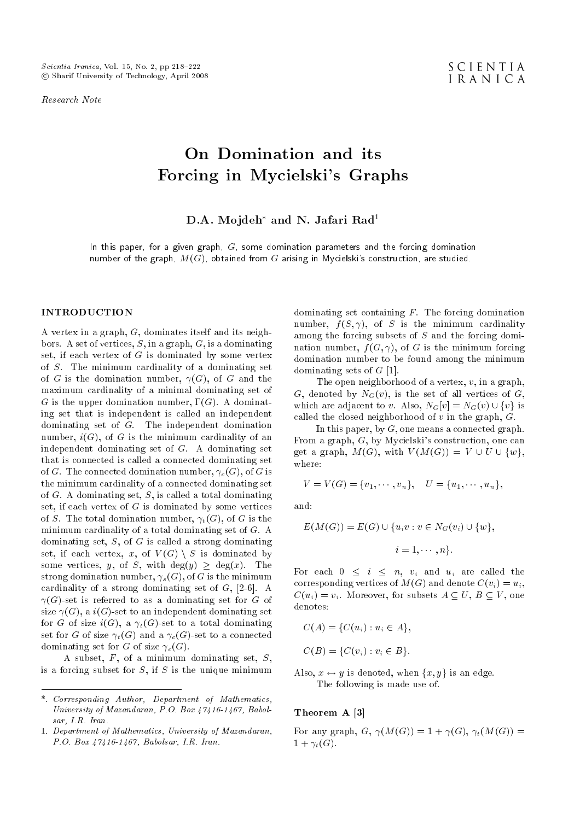Research Note

# On Domination and its Forcing in Mycielski's Graphs

D.A. Mojdeh<sup>\*</sup> and N. Jafari Rad<sup>1</sup>

In this paper, for a given graph,  $G$ , some domination parameters and the forcing domination number of the graph,  $M(G)$ , obtained from G arising in Mycielski's construction, are studied.

### INTRODUCTION

A vertex in a graph, G, dominates itself and its neighbors. A set of vertices,  $S$ , in a graph,  $G$ , is a dominating set, if each vertex of  $G$  is dominated by some vertex of S. The minimum cardinality of a dominating set of G is the domination number,  $\gamma(G)$ , of G and the maximum cardinality of a minimal dominating set of G is the upper domination number,  $\Gamma(G)$ . A dominating set that is independent is called an independent dominating set of G. The independent domination number,  $i(G)$ , of G is the minimum cardinality of an independent dominating set of G. A dominating set that is connected is called a connected dominating set of G. The connected domination number,  $\gamma_c(G)$ , of G is the minimum cardinality of a connected dominating set of  $G$ . A dominating set,  $S$ , is called a total dominating set, if each vertex of  $G$  is dominated by some vertices of S. The total domination number,  $\gamma_t(G)$ , of G is the minimum cardinality of a total dominating set of G. A dominating set, S, of G is called a strong dominating set, if each vertex, x, of  $V(G) \setminus S$  is dominated by some vertices, y, of S, with  $deg(y) \geq deg(x)$ . The strong domination number,  $\gamma_s(G)$ , of G is the minimum cardinality of a strong dominating set of  $G$ ,  $[2-6]$ . A  $\gamma(G)$ -set is referred to as a dominating set for G of size  $\gamma(G)$ , a  $i(G)$ -set to an independent dominating set for G of size  $i(G)$ , a  $\gamma_t(G)$ -set to a total dominating set for G of size  $\gamma_t(G)$  and a  $\gamma_c(G)$ -set to a connected dominating set for G of size  $\gamma_c(G)$ .

A subset, F, of a minimum dominating set, S, is a forcing subset for  $S$ , if  $S$  is the unique minimum

dominating set containing  $F$ . The forcing domination number,  $f(S, \gamma)$ , of S is the minimum cardinality among the forcing subsets of S and the forcing domination number,  $f(G, \gamma)$ , of G is the minimum forcing domination number to be found among the minimum dominating sets of  $G$  [1].

The open neighborhood of a vertex,  $v$ , in a graph, G, denoted by  $N_G(v)$ , is the set of all vertices of G, which are adjacent to v. Also,  $N_G[v] = N_G(v) \cup \{v\}$  is called the closed neighborhood of  $v$  in the graph,  $G$ .

In this paper, by  $G$ , one means a connected graph. From a graph, G, by Mycielski's construction, one can get a graph,  $M(G)$ , with  $V(M(G)) = V \cup U \cup \{w\},\$ where:

$$
V = V(G) = \{v_1, \cdots, v_n\}, \quad U = \{u_1, \cdots, u_n\},\
$$

and:

$$
E(M(G)) = E(G) \cup \{u_i v : v \in N_G(v_i) \cup \{w\},\
$$

$$
i = 1, \cdots, n\}.
$$

For each  $0 \leq i \leq n$ ,  $v_i$  and  $u_i$  are called the corresponding vertices of  $M(G)$  and denote  $C(v_i) = u_i$ ,  $C(u_i) = v_i$ . Moreover, for subsets  $A \subseteq U, B \subseteq V$ , one denotes:

$$
C(A) = \{C(u_i) : u_i \in A\},\
$$
  

$$
C(B) = \{C(v_i) : v_i \in B\}.
$$

Also,  $x \leftrightarrow y$  is denoted, when  $\{x, y\}$  is an edge. The following is made use of.

## Theorem A [3]

For any graph,  $G, \gamma(M(G)) = 1 + \gamma(G), \gamma_t(M(G)) =$  $1+\gamma_t(G)$ .

<sup>\*.</sup> Corresponding Author, Department of Mathematics, University of Mazandaran, P.O. Box 47416-1467, Babolsar, I.R. Iran.

<sup>1.</sup> Department of Mathematics, University of Mazandaran, P.O. Box 47416-1467, Babolsar, I.R. Iran.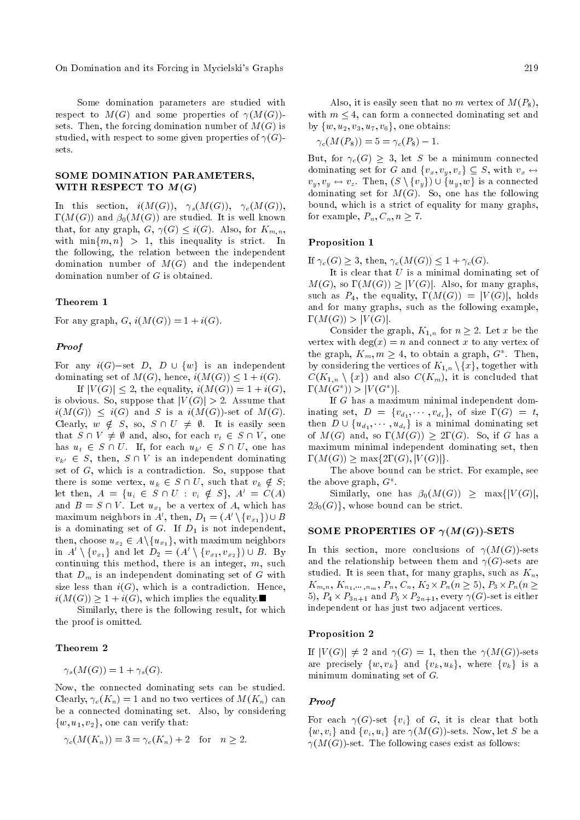On Domination and its Forcing in Mycielski's Graphs 219

Some domination parameters are studied with respect to  $M(G)$  and some properties of  $\gamma(M(G))$ sets. Then, the forcing domination number of  $M(G)$  is studied, with respect to some given properties of  $\gamma(G)$ sets.

# SOME DOMINATION PARAMETERS, WITH RESPECT TO  $M(G)$

In this section,  $i(M(G))$ ,  $\gamma_s(M(G))$ ,  $\gamma_c(M(G))$ ,  $\Gamma(M(G))$  and  $\beta_0(M(G))$  are studied. It is well known that, for any graph,  $G, \gamma(G) \leq i(G)$ . Also, for  $K_{m,n}$ , with  $\min\{m, n\} > 1$ , this inequality is strict. In the following, the relation between the independent domination number of  $M(G)$  and the independent domination number of G is obtained.

### Theorem 1

For any graph,  $G$ ,  $i(M(G)) = 1 + i(G)$ .

## Proof

For any  $i(G)$ -set D, D  $\cup \{w\}$  is an independent dominating set of  $M(G)$ , hence,  $i(M(G)) \leq 1 + i(G)$ .

If  $|V(G)| \leq 2$ , the equality,  $i(M(G)) = 1 + i(G)$ , is obvious. So, suppose that  $|V(G)| > 2$ . Assume that  $i(M(G)) \leq i(G)$  and S is a  $i(M(G))$ -set of  $M(G)$ . Clearly,  $w \notin S$ , so,  $S \cap U \neq \emptyset$ . It is easily seen that  $S \cap V \neq \emptyset$  and, also, for each  $v_t \in S \cap V$ , one has  $u_t \in S \cap U$ . If, for each  $u_{k'} \in S \cap U$ , one has  $v_{k'} \in S$ , then,  $S \cap V$  is an independent dominating set of G, which is a contradiction. So, suppose that there is some vertex,  $u_k \in S \cap U$ , such that  $v_k \notin S$ ; let then,  $A = \{u_i \in S \cap U : v_i \notin S\}, A' = C(A)$ and  $B = S \cap V$ . Let  $u_{x_1}$  be a vertex of A, which has maximum neighbors in  $A',$  then,  $D_1 = (A' \setminus \{v_{x_1}\}) \cup B$ is a dominating set of  $G$ . If  $D_1$  is not independent, then, choose  $u_{x_2} \in A \setminus \{u_{x_1}\}$ , with maximum neighbors in  $A' \setminus \{v_{x_1}\}\$ and let  $D_2 = (A' \setminus \{v_{x_1}, v_{x_2}\}) \cup B$ . By continuing this method, there is an integer,  $m$ , such that  $D_m$  is an independent dominating set of G with size less than  $i(G)$ , which is a contradiction. Hence,  $i(M(G)) \geq 1 + i(G)$ , which implies the equality.

Similarly, there is the following result, for which the proof is omitted.

# Theorem 2

 $\gamma_s(M(G)) = 1 + \gamma_s(G).$ 

Now, the connected dominating sets can be studied. Clearly,  $\gamma_c(K_n) = 1$  and no two vertices of  $M(K_n)$  can be a connected dominating set. Also, by considering  $\{w, u_1, v_2\}$ , one can verify that:

$$
\gamma_c(M(K_n)) = 3 = \gamma_c(K_n) + 2 \quad \text{for} \quad n \ge 2.
$$

Also, it is easily seen that no m vertex of  $M(P_8)$ , with  $m \leq 4$ , can form a connected dominating set and by  $\{w, u_2, v_3, u_7, v_6\}$ , one obtains:

$$
\gamma_c(M(P_8)) = 5 = \gamma_c(P_8) - 1.
$$

But, for  $\gamma_c(G) \geq 3$ , let S be a minimum connected dominating set for G and  $\{v_x, v_y, v_z\} \subseteq S$ , with  $v_x \leftrightarrow$  $v_y, v_y \leftrightarrow v_z$ . Then,  $(S \setminus \{v_y\}) \cup \{u_y, w\}$  is a connected dominating set for  $M(G)$ . So, one has the following bound, which is a strict of equality for many graphs, for example,  $P_n, C_n, n \geq 7$ .

## Proposition 1

If  $\gamma_c(G) \geq 3$ , then,  $\gamma_c(M(G)) \leq 1 + \gamma_c(G)$ .

It is clear that  $U$  is a minimal dominating set of  $M(G)$ , so  $\Gamma(M(G)) \geq |V(G)|$ . Also, for many graphs, such as  $P_4$ , the equality,  $\Gamma(M(G)) = |V(G)|$ , holds and for many graphs, such as the following example,  $\Gamma(M(G)) > |V(G)|$ .

Consider the graph,  $K_{1,n}$  for  $n \geq 2$ . Let x be the vertex with  $deg(x) = n$  and connect x to any vertex of the graph,  $K_m$ ,  $m \geq 4$ , to obtain a graph,  $G^*$ . Then, by considering the vertices of  $K_{1,n} \setminus \{x\}$ , together with  $C(K_{1,n} \setminus \{x\})$  and also  $C(K_m)$ , it is concluded that  $\Gamma(M(G^*)) > |V(G^*)|.$ 

If G has a maximum minimal independent dominating set,  $D = \{v_{d_1}, \cdots, v_{d_t}\},\$  of size  $\Gamma(G) = t$ , then  $D \cup \{u_{d_1}, \dots, u_{d_t}\}$  is a minimal dominating set of  $M(G)$  and, so  $\Gamma(M(G)) \geq 2\Gamma(G)$ . So, if G has a maximum minimal independent dominating set, then  $\Gamma(M(G)) \ge \max\{2\Gamma(G), |V(G)|\}.$ 

The above bound can be strict. For example, see the above graph,  $G^*$ .

Similarly, one has  $\beta_0(M(G)) \geq \max\{|V(G)|,$  $2\beta_0(G)$ , whose bound can be strict.

### SOME PROPERTIES OF  $\gamma(M(G))$ -SETS

In this section, more conclusions of  $\gamma(M(G))$ -sets and the relationship between them and  $\gamma(G)$ -sets are studied. It is seen that, for many graphs, such as  $K_n$ ,  $K_{m,n}, K_{n_1,\dots,n_m}, P_n, C_n, K_2 \times P_n(n \geq 5), P_3 \times P_n(n \geq 5)$ 5),  $P_4 \times P_{3n+1}$  and  $P_5 \times P_{2n+1}$ , every  $\gamma(G)$ -set is either independent or has just two adjacent vertices.

#### Proposition 2

If  $|V(G)| \neq 2$  and  $\gamma(G) = 1$ , then the  $\gamma(M(G))$ -sets are precisely  $\{w, v_k\}$  and  $\{v_k, u_k\}$ , where  $\{v_k\}$  is a minimum dominating set of G.

#### Proof

For each  $\gamma(G)$ -set  $\{v_i\}$  of G, it is clear that both  $\{w, v_i\}$  and  $\{v_i, u_i\}$  are  $\gamma(M(G))$ -sets. Now, let S be a  $\gamma(M(G))$ -set. The following cases exist as follows: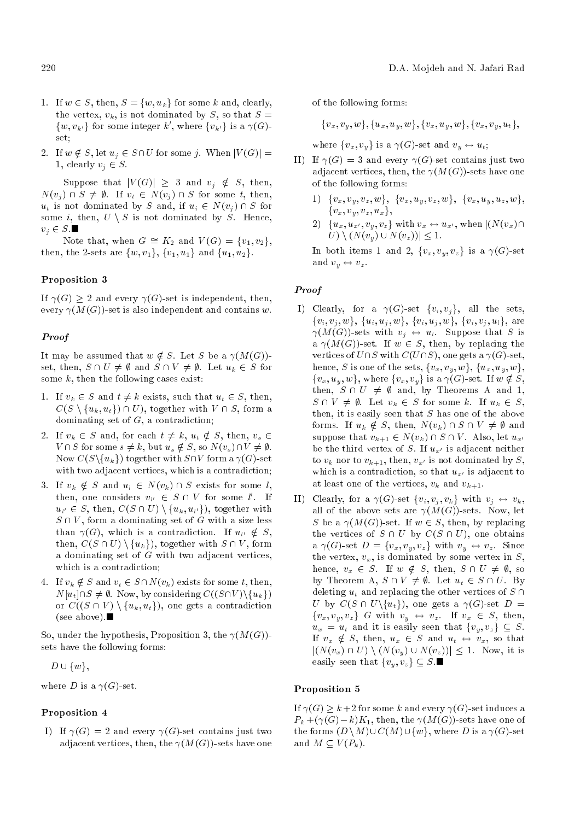- 1. If  $w \in S$ , then,  $S = \{w, u_k\}$  for some k and, clearly, the vertex,  $v_k$ , is not dominated by S, so that  $S =$  $\{w, v_{k'}\}$  for some integer k', where  $\{v_{k'}\}$  is a  $\gamma(G)$ set;
- 2. If  $w \notin S$ , let  $u_j \in S \cap U$  for some j. When  $|V(G)| =$ 1, clearly  $v_j \in S$ .

Suppose that  $|V(G)| \geq 3$  and  $v_i \notin S$ , then,  $N(v_i) \cap S \neq \emptyset$ . If  $v_i \in N(v_i) \cap S$  for some t, then,  $u_t$  is not dominated by S and, if  $u_i \in N(v_i) \cap S$  for some i, then,  $U \setminus S$  is not dominated by S. Hence,  $v_i \in S$ .

Note that, when  $G \cong K_2$  and  $V(G) = \{v_1, v_2\},\$ then, the 2-sets are  $\{w, v_1\}$ ,  $\{v_1, u_1\}$  and  $\{u_1, u_2\}$ .

# Proposition 3

If  $\gamma(G) \geq 2$  and every  $\gamma(G)$ -set is independent, then, every  $\gamma(M(G))$ -set is also independent and contains w.

# Proof

It may be assumed that  $w \notin S$ . Let S be a  $\gamma(M(G))$ set, then,  $S \cap U \neq \emptyset$  and  $S \cap V \neq \emptyset$ . Let  $u_k \in S$  for some  $k$ , then the following cases exist:

- 1. If  $v_k \in S$  and  $t \neq k$  exists, such that  $u_t \in S$ , then,  $C(S \setminus \{u_k, u_t\}) \cap U$ , together with  $V \cap S$ , form a dominating set of G, a contradiction;
- 2. If  $v_k \in S$  and, for each  $t \neq k$ ,  $u_t \notin S$ , then,  $v_s \in S$  $V \cap S$  for some  $s \neq k$ , but  $u_s \notin S$ , so  $N(v_s) \cap V \neq \emptyset$ . Now  $C(S\backslash \{u_k\})$  together with  $S\cap V$  form a  $\gamma(G)$ -set with two adjacent vertices, which is a contradiction;
- 3. If  $v_k \notin S$  and  $u_l \in N(v_k) \cap S$  exists for some l, then, one considers  $v_{l'} \in S \cap V$  for some l'. If  $u_{l'} \in S$ , then,  $C(S \cap U) \setminus \{u_k, u_{l'}\}$ , together with  $S \cap V$ , form a dominating set of G with a size less than  $\gamma(G)$ , which is a contradiction. If  $u_{l'} \notin S$ , then,  $C(S \cap U) \setminus \{u_k\}$ , together with  $S \cap V$ , form a dominating set of  $G$  with two adjacent vertices, which is a contradiction;
- 4. If  $v_k \notin S$  and  $v_t \in S \cap N(v_k)$  exists for some t, then,  $N[u_t]\cap S\neq \emptyset$ . Now, by considering  $C((S\cap V)\setminus\{u_k\})$ or  $C((S \cap V) \setminus \{u_k, u_t\})$ , one gets a contradiction (see above).

So, under the hypothesis, Proposition 3, the  $\gamma(M(G))$ sets have the following forms:

 $D \cup \{w\},\$ 

where D is a  $\gamma(G)$ -set.

# Proposition 4

I) If  $\gamma(G) = 2$  and every  $\gamma(G)$ -set contains just two adjacent vertices, then, the  $\gamma(M(G))$ -sets have one of the following forms:

 ${v_x, v_y, w}$ ,  ${u_x, u_y, w}$ ,  ${v_x, u_y, w}$ ,  ${v_x, v_y, u_t}$ ,

where  $\{v_x, v_y\}$  is a  $\gamma(G)$ -set and  $v_y \leftrightarrow u_t$ ;

- II) If  $\gamma(G) = 3$  and every  $\gamma(G)$ -set contains just two adjacent vertices, then, the  $\gamma(M(G))$ -sets have one of the following forms:
	- 1)  $\{v_x, v_y, v_z, w\}, \{v_x, u_y, v_z, w\}, \{v_x, u_y, u_z, w\},$  ${v_x, v_y, v_z, u_x},$
	- 2)  $\{u_x, u_{x'}, v_y, v_z\}$  with  $v_x \leftrightarrow u_{x'}$ , when  $|(N(v_x)\cap)$  $U$ )  $\setminus (N(v_y) \cup N(v_z)) \leq 1.$

In both items 1 and 2,  $\{v_x, v_y, v_z\}$  is a  $\gamma(G)$ -set and  $v_y \leftrightarrow v_z$ .

# Proof

- I) Clearly, for a  $\gamma(G)$ -set  $\{v_i, v_j\}$ , all the sets,  $\{v_i, v_j, w\}, \ \{u_i, u_j, w\}, \ \{v_i, u_j, w\}, \ \{v_i, v_j, u_l\}, \ \text{are}$  $\gamma(M(G))$ -sets with  $v_j \leftrightarrow u_l$ . Suppose that S is a  $\gamma(M(G))$ -set. If  $w \in S$ , then, by replacing the vertices of  $U\cap S$  with  $C(U\cap S)$ , one gets a  $\gamma(G)$ -set, hence, S is one of the sets,  $\{v_x, v_y, w\}$ ,  $\{u_x, u_y, w\}$ ,  $\{v_x, u_y, w\}$ , where  $\{v_x, v_y\}$  is a  $\gamma(G)$ -set. If  $w \notin S$ , then,  $S \cap U \neq \emptyset$  and, by Theorems A and 1,  $S \cap V \neq \emptyset$ . Let  $v_k \in S$  for some k. If  $u_k \in S$ , then, it is easily seen that  $S$  has one of the above forms. If  $u_k \notin S$ , then,  $N(v_k) \cap S \cap V \neq \emptyset$  and suppose that  $v_{k+1} \in N(v_k) \cap S \cap V$ . Also, let  $u_{x'}$ be the third vertex of S. If  $u_{x'}$  is adjacent neither to  $v_k$  nor to  $v_{k+1}$ , then,  $v_{x'}$  is not dominated by S, which is a contradiction, so that  $u_{x'}$  is adjacent to at least one of the vertices,  $v_k$  and  $v_{k+1}$ .
- II) Clearly, for a  $\gamma(G)$ -set  $\{v_i, v_j, v_k\}$  with  $v_j \leftrightarrow v_k$ , all of the above sets are  $\gamma(M(G))$ -sets. Now, let S be a  $\gamma(M(G))$ -set. If  $w \in S$ , then, by replacing the vertices of  $S \cap U$  by  $C(S \cap U)$ , one obtains a  $\gamma(G)$ -set  $D = \{v_x, v_y, v_z\}$  with  $v_y \leftrightarrow v_z$ . Since the vertex,  $v_x$ , is dominated by some vertex in  $S$ , hence,  $v_x \in S$ . If  $w \notin S$ , then,  $S \cap U \neq \emptyset$ , so by Theorem A,  $S \cap V \neq \emptyset$ . Let  $u_t \in S \cap U$ . By deleting  $u_t$  and replacing the other vertices of  $S \cap$ U by  $C(S \cap U\setminus \{u_t\})$ , one gets a  $\gamma(G)$ -set  $D =$  $\{v_x, v_y, v_z\}$  G with  $v_y \leftrightarrow v_z$ . If  $v_x \in S$ , then,  $u_x = u_t$  and it is easily seen that  $\{v_y, v_z\} \subseteq S$ . If  $v_x \notin S$ , then,  $u_x \in S$  and  $u_t \leftrightarrow v_x$ , so that  $|(N(v_x) \cap U) \setminus (N(v_y) \cup N(v_z))| \leq 1$ . Now, it is easily seen that  $\{v_y, v_z\} \subseteq S$ .

## Proposition 5

If  $\gamma(G) \geq k+2$  for some k and every  $\gamma(G)$ -set induces a  $P_k + (\gamma(G) - k)K_1$ , then, the  $\gamma(M(G))$ -sets have one of the forms  $(D \setminus M) \cup C(M) \cup \{w\}$ , where D is a  $\gamma(G)$ -set and  $M \subseteq V(P_k)$ .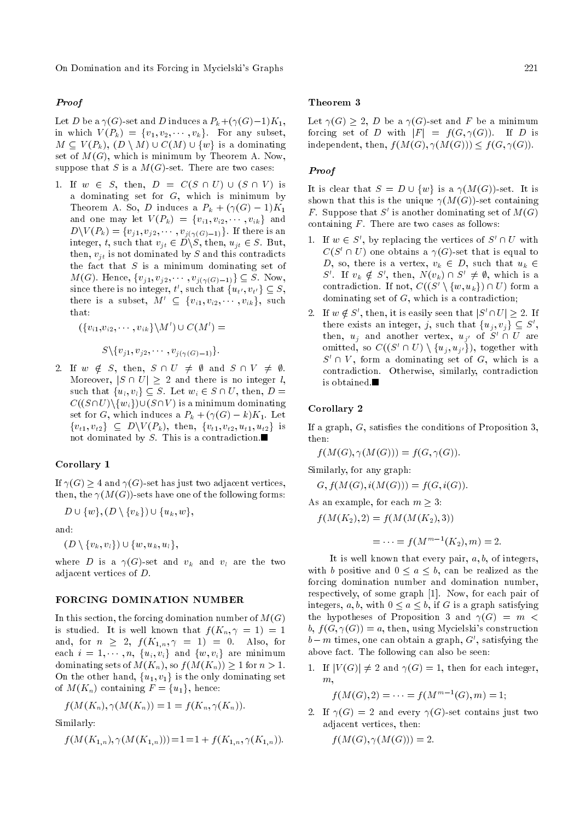On Domination and its Forcing in Mycielski's Graphs 221

# Proof

Let D be a  $\gamma(G)$ -set and D induces a  $P_k + (\gamma(G)-1)K_1$ , in which  $V(P_k) = \{v_1, v_2, \dots, v_k\}$ . For any subset,  $M \subseteq V(P_k)$ ,  $(D \setminus M) \cup C(M) \cup \{w\}$  is a dominating set of  $M(G)$ , which is minimum by Theorem A. Now, suppose that S is a  $M(G)$ -set. There are two cases:

1. If  $w \in S$ , then,  $D = C(S \cap U) \cup (S \cap V)$  is a dominating set for  $G$ , which is minimum by Theorem A. So, D induces a  $P_k + (\gamma(G) - 1)K_1$ and one may let  $V(P_k) = \{v_{i1}, v_{i2}, \cdots, v_{ik}\}\$ and  $D \setminus V(P_k) = \{v_{j1}, v_{j2}, \cdots, v_{j(\gamma(G)-1)}\}.$  If there is an integer, t, such that  $v_{it} \in D \backslash S$ , then,  $u_{it} \in S$ . But, then,  $v_{it}$  is not dominated by S and this contradicts the fact that  $S$  is a minimum dominating set of  $M(G)$ . Hence,  $\{v_{j1}, v_{j2}, \cdots, v_{j(\gamma(G)-1)}\} \subseteq S$ . Now, since there is no integer,  $t'$ , such that  $\{u_{t'}, v_{t'}\} \subseteq S$ , there is a subset,  $M' \subseteq \{v_{i1}, v_{i2}, \cdots, v_{ik}\},$  such that:

 $(\{v_{i1}, v_{i2}, \cdots, v_{ik}\} \backslash M') \cup C(M') =$ 

 $S \setminus \{v_{j1}, v_{j2}, \cdots, v_{j(\gamma(G)-1)}\}.$ 

2. If  $w \notin S$ , then,  $S \cap U \neq \emptyset$  and  $S \cap V \neq \emptyset$ . Moreover,  $|S \cap U| \geq 2$  and there is no integer l, such that  $\{u_i, v_i\} \subseteq S$ . Let  $w_i \in S \cap U$ , then,  $D =$  $C((S\cap U)\setminus\{w_i\})\cup (S\cap V)$  is a minimum dominating set for G, which induces a  $P_k + (\gamma(G) - k)K_1$ . Let  ${v_{t1}, v_{t2}} \subseteq D\backslash V(P_k)$ , then,  ${v_{t1}, v_{t2}, u_{t1}, u_{t2}}$  is not dominated by S. This is a contradiction.

## Corollary 1

If  $\gamma(G) \geq 4$  and  $\gamma(G)$ -set has just two adjacent vertices, then, the  $\gamma(M(G))$ -sets have one of the following forms:

 $D \cup \{w\}, (D \setminus \{v_k\}) \cup \{u_k, w\},$ 

and:

 $(D \setminus \{v_k, v_l\}) \cup \{w, u_k, u_l\},\$ 

where D is a  $\gamma(G)$ -set and  $v_k$  and  $v_l$  are the two adjacent vertices of D.

## FORCING DOMINATION NUMBER

In this section, the forcing domination number of  $M(G)$ is studied. It is well known that  $f(K_n, \gamma = 1) = 1$ and, for  $n \geq 2$ ,  $f(K_{1,n}, \gamma = 1) = 0$ . Also, for each  $i = 1, \dots, n, \{u_i, v_i\}$  and  $\{w, v_i\}$  are minimum dominating sets of  $M(K_n)$ , so  $f(M(K_n)) \geq 1$  for  $n > 1$ . On the other hand,  $\{u_1, v_1\}$  is the only dominating set of  $M(K_n)$  containing  $F = \{u_1\}$ , hence:

$$
f(M(K_n), \gamma(M(K_n)) = 1 = f(K_n, \gamma(K_n)).
$$

Similarly:

$$
f(M(K_{1,n}), \gamma(M(K_{1,n}))) = 1 = 1 + f(K_{1,n}, \gamma(K_{1,n})).
$$

### Theorem 3

Let  $\gamma(G) \geq 2$ , D be a  $\gamma(G)$ -set and F be a minimum forcing set of D with  $|F| = f(G, \gamma(G))$ . If D is independent, then,  $f(M(G), \gamma(M(G))) \leq f(G, \gamma(G)).$ 

## Proof

It is clear that  $S = D \cup \{w\}$  is a  $\gamma(M(G))$ -set. It is shown that this is the unique  $\gamma(M(G))$ -set containing F. Suppose that  $S'$  is another dominating set of  $M(G)$ containing  $F$ . There are two cases as follows:

- 1. If  $w \in S'$ , by replacing the vertices of  $S' \cap U$  with  $C(S' \cap U)$  one obtains a  $\gamma(G)$ -set that is equal to D, so, there is a vertex,  $v_k \in D$ , such that  $u_k \in$ S'. If  $v_k \notin S'$ , then,  $N(v_k) \cap S' \neq \emptyset$ , which is a contradiction. If not,  $C((S' \setminus \{w, u_k\}) \cap U)$  form a dominating set of G, which is a contradiction;
- 2. If  $w \notin S'$ , then, it is easily seen that  $|S' \cap U| \geq 2$ . If there exists an integer, j, such that  $\{u_j, v_j\} \subseteq S'$ , then,  $u_j$  and another vertex,  $u_{j'}$  of  $S' \cap U$  are omitted, so  $C((S' \cap U) \setminus \{u_j, u_{j'}\})$ , together with  $S' \cap V$ , form a dominating set of G, which is a contradiction. Otherwise, similarly, contradiction is obtained.

## Corollary 2

If a graph,  $G$ , satisfies the conditions of Proposition 3, then:

 $f(M(G), \gamma(M(G))) = f(G, \gamma(G)).$ 

Similarly, for any graph:

 $G, f(M(G), i(M(G))) = f(G, i(G)).$ 

As an example, for each  $m \geq 3$ :

$$
f(M(K_2), 2) = f(M(M(K_2), 3))
$$

$$
= \cdots = f(M^{m-1}(K_2), m) = 2.
$$

It is well known that every pair,  $a, b$ , of integers, with b positive and  $0 \le a \le b$ , can be realized as the forcing domination number and domination number, respectively, of some graph [1]. Now, for each pair of integers, a, b, with  $0 \le a \le b$ , if G is a graph satisfying the hypotheses of Proposition 3 and  $\gamma(G) = m$ b,  $f(G, \gamma(G)) = a$ , then, using Mycielski's construction  $b-m$  times, one can obtain a graph,  $G'$ , satisfying the above fact. The following can also be seen:

1. If  $|V(G)| \neq 2$  and  $\gamma(G) = 1$ , then for each integer,  $m$ .

$$
f(M(G), 2) = \cdots = f(M^{m-1}(G), m) = 1;
$$

2. If  $\gamma(G) = 2$  and every  $\gamma(G)$ -set contains just two adjacent vertices, then:

$$
f(M(G),\gamma(M(G)))=2.
$$